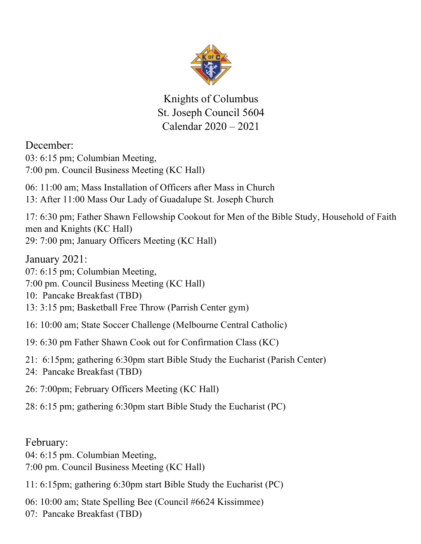

Knights of Columbus St. Joseph Council 5604 Calendar 2020 – 2021

#### December:

03: 6:15 pm; Columbian Meeting, 7:00 pm. Council Business Meeting (KC Hall)

06: 11:00 am; Mass Installation of Officers after Mass in Church 13: After 11:00 Mass Our Lady of Guadalupe St. Joseph Church

17: 6:30 pm; Father Shawn Fellowship Cookout for Men of the Bible Study, Household of Faith men and Knights (KC Hall) 29: 7:00 pm; January Officers Meeting (KC Hall)

January 2021:

07: 6:15 pm; Columbian Meeting,

7:00 pm. Council Business Meeting (KC Hall)

10: Pancake Breakfast (TBD)

13: 3:15 pm; Basketball Free Throw (Parrish Center gym)

- 16: 10:00 am; State Soccer Challenge (Melbourne Central Catholic)
- 19: 6:30 pm Father Shawn Cook out for Confirmation Class (KC)
- 21: 6:15pm; gathering 6:30pm start Bible Study the Eucharist (Parish Center)
- 24: Pancake Breakfast (TBD)
- 26: 7:00pm; February Officers Meeting (KC Hall)

28: 6:15 pm; gathering 6:30pm start Bible Study the Eucharist (PC)

#### February:

04: 6:15 pm. Columbian Meeting,

7:00 pm. Council Business Meeting (KC Hall)

11: 6:15pm; gathering 6:30pm start Bible Study the Eucharist (PC)

06: 10:00 am; State Spelling Bee (Council #6624 Kissimmee)

07: Pancake Breakfast (TBD)